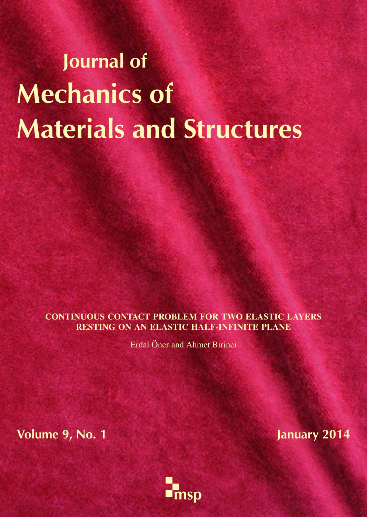# Journal of Mechanics of Materials and Structures

CONTINUOUS CONTACT PROBLEM FOR TWO ELASTIC LAYERS RESTING ON AN ELASTIC HALF-INFINITE PLANE

Erdal Öner and Ahmet Birinci

Volume 9, No. 1 January 2014

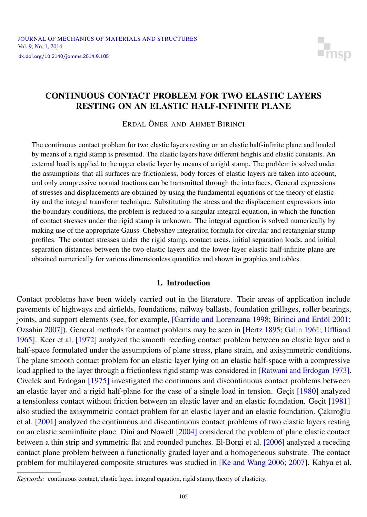

## <span id="page-1-0"></span>CONTINUOUS CONTACT PROBLEM FOR TWO ELASTIC LAYERS RESTING ON AN ELASTIC HALF-INFINITE PLANE

ERDAL ÖNER AND AHMET BIRINCI

The continuous contact problem for two elastic layers resting on an elastic half-infinite plane and loaded by means of a rigid stamp is presented. The elastic layers have different heights and elastic constants. An external load is applied to the upper elastic layer by means of a rigid stamp. The problem is solved under the assumptions that all surfaces are frictionless, body forces of elastic layers are taken into account, and only compressive normal tractions can be transmitted through the interfaces. General expressions of stresses and displacements are obtained by using the fundamental equations of the theory of elasticity and the integral transform technique. Substituting the stress and the displacement expressions into the boundary conditions, the problem is reduced to a singular integral equation, in which the function of contact stresses under the rigid stamp is unknown. The integral equation is solved numerically by making use of the appropriate Gauss–Chebyshev integration formula for circular and rectangular stamp profiles. The contact stresses under the rigid stamp, contact areas, initial separation loads, and initial separation distances between the two elastic layers and the lower-layer elastic half-infinite plane are obtained numerically for various dimensionless quantities and shown in graphics and tables.

#### 1. Introduction

Contact problems have been widely carried out in the literature. Their areas of application include pavements of highways and airfields, foundations, railway ballasts, foundation grillages, roller bearings, joints, and support elements (see, for example, [\[Garrido and Lorenzana 1998;](#page-14-0) [Birinci and Erdöl 2001;](#page-14-1) [Ozsahin 2007\]](#page-15-0)). General methods for contact problems may be seen in [\[Hertz 1895;](#page-14-2) [Galin 1961;](#page-14-3) [Uffliand](#page-15-1) [1965\]](#page-15-1). [Keer et al.](#page-14-4) [1972] analyzed the smooth receding contact problem between an elastic layer and a half-space formulated under the assumptions of plane stress, plane strain, and axisymmetric conditions. The plane smooth contact problem for an elastic layer lying on an elastic half-space with a compressive load applied to the layer through a frictionless rigid stamp was considered in [\[Ratwani and Erdogan 1973\]](#page-15-2). [Civelek and Erdogan](#page-14-5) [1975] investigated the continuous and discontinuous contact problems between an elastic layer and a rigid half-plane for the case of a single load in tension. Geçit [\[1980\]](#page-14-6) analyzed a tensionless contact without friction between an elastic layer and an elastic foundation. Geçit [\[1981\]](#page-14-7) also studied the axisymmetric contact problem for an elastic layer and an elastic foundation. [Çakıroglu](#page-14-8) ˘ et al. [\[2001\]](#page-14-8) analyzed the continuous and discontinuous contact problems of two elastic layers resting on an elastic semiinfinite plane. [Dini and Nowell](#page-14-9) [2004] considered the problem of plane elastic contact between a thin strip and symmetric flat and rounded punches. [El-Borgi et al.](#page-14-10) [2006] analyzed a receding contact plane problem between a functionally graded layer and a homogeneous substrate. The contact problem for multilayered composite structures was studied in [\[Ke and Wang 2006;](#page-14-11) [2007\]](#page-14-12). [Kahya et al.](#page-14-13)

*Keywords:* [continuous contact, elastic layer, integral equation, rigid stamp, theory of elasticity.](#page-14-13)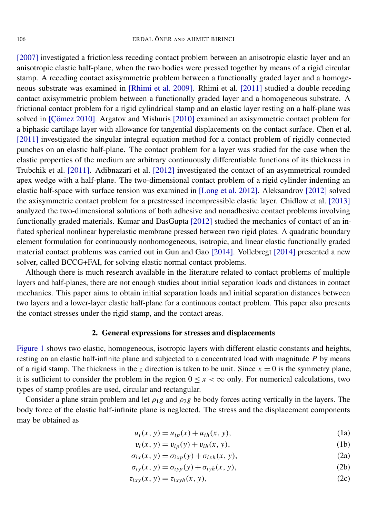[\[2007\]](#page-14-13) investigated a frictionless receding contact problem between an anisotropic elastic layer and an anisotropic elastic half-plane, when the two bodies were pressed together by means of a rigid circular stamp. A receding contact axisymmetric problem between a functionally graded layer and a homogeneous substrate was examined in [\[Rhimi et al. 2009\]](#page-15-3). [Rhimi et al.](#page-15-4) [2011] studied a double receding contact axisymmetric problem between a functionally graded layer and a homogeneous substrate. A frictional contact problem for a rigid cylindrical stamp and an elastic layer resting on a half-plane was solved in [\[Çömez 2010\]](#page-14-14). [Argatov and Mishuris](#page-14-15) [2010] examined an axisymmetric contact problem for a biphasic cartilage layer with allowance for tangential displacements on the contact surface. [Chen et al.](#page-14-16) [\[2011\]](#page-14-16) investigated the singular integral equation method for a contact problem of rigidly connected punches on an elastic half-plane. The contact problem for a layer was studied for the case when the elastic properties of the medium are arbitrary continuously differentiable functions of its thickness in [Trubchik et al.](#page-15-5) [2011]. [Adibnazari et al.](#page-13-0) [2012] investigated the contact of an asymmetrical rounded apex wedge with a half-plane. The two-dimensional contact problem of a rigid cylinder indenting an elastic half-space with surface tension was examined in [\[Long et al. 2012\]](#page-14-17). [Aleksandrov](#page-14-18) [2012] solved the axisymmetric contact problem for a prestressed incompressible elastic layer. [Chidlow et al.](#page-14-19) [2013] analyzed the two-dimensional solutions of both adhesive and nonadhesive contact problems involving functionally graded materials. [Kumar and DasGupta](#page-14-20) [2012] studied the mechanics of contact of an inflated spherical nonlinear hyperelastic membrane pressed between two rigid plates. A quadratic boundary element formulation for continuously nonhomogeneous, isotropic, and linear elastic functionally graded material contact problems was carried out in [Gun and Gao](#page-14-21) [2014]. [Vollebregt](#page-15-6) [2014] presented a new solver, called BCCG+FAI, for solving elastic normal contact problems.

Although there is much research available in the literature related to contact problems of multiple layers and half-planes, there are not enough studies about initial separation loads and distances in contact mechanics. This paper aims to obtain initial separation loads and initial separation distances between two layers and a lower-layer elastic half-plane for a continuous contact problem. This paper also presents the contact stresses under the rigid stamp, and the contact areas.

#### 2. General expressions for stresses and displacements

[Figure 1](#page-3-0) shows two elastic, homogeneous, isotropic layers with different elastic constants and heights, resting on an elastic half-infinite plane and subjected to a concentrated load with magnitude *P* by means of a rigid stamp. The thickness in the *z* direction is taken to be unit. Since  $x = 0$  is the symmetry plane, it is sufficient to consider the problem in the region  $0 \le x < \infty$  only. For numerical calculations, two types of stamp profiles are used, circular and rectangular.

Consider a plane strain problem and let  $\rho_1g$  and  $\rho_2g$  be body forces acting vertically in the layers. The body force of the elastic half-infinite plane is neglected. The stress and the displacement components may be obtained as

$$
u_i(x, y) = u_{ip}(x) + u_{ih}(x, y),
$$
\n(1a)

<span id="page-2-0"></span>
$$
v_i(x, y) = v_{ip}(y) + v_{ih}(x, y),
$$
 (1b)

$$
\sigma_{ix}(x, y) = \sigma_{ixp}(y) + \sigma_{ixh}(x, y), \qquad (2a)
$$

$$
\sigma_{iy}(x, y) = \sigma_{iyp}(y) + \sigma_{iyh}(x, y), \qquad (2b)
$$

$$
\tau_{ixy}(x, y) = \tau_{ixyh}(x, y),\tag{2c}
$$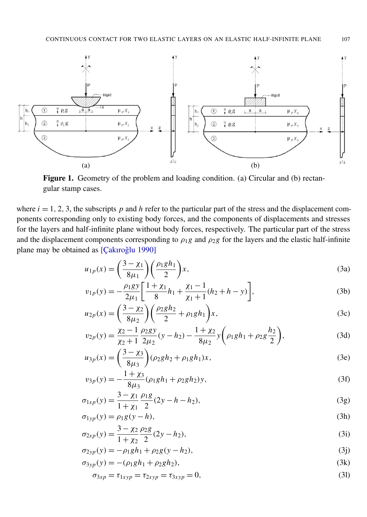<span id="page-3-0"></span>

Figure 1. Geometry of the problem and loading condition. (a) Circular and (b) rectangular stamp cases.

where  $i = 1, 2, 3$ , the subscripts p and h refer to the particular part of the stress and the displacement components corresponding only to existing body forces, and the components of displacements and stresses for the layers and half-infinite plane without body forces, respectively. The particular part of the stress and the displacement components corresponding to  $\rho_1g$  and  $\rho_2g$  for the layers and the elastic half-infinite plane may be obtained as [Çakıroğlu 1990]

$$
u_{1p}(x) = \left(\frac{3-\chi_1}{8\mu_1}\right) \left(\frac{\rho_1 g h_1}{2}\right) x,\tag{3a}
$$

$$
v_{1p}(y) = -\frac{\rho_1 gy}{2\mu_1} \left[ \frac{1+\chi_1}{8} h_1 + \frac{\chi_1 - 1}{\chi_1 + 1} (h_2 + h - y) \right],\tag{3b}
$$

$$
u_{2p}(x) = \left(\frac{3 - \chi_2}{8\mu_2}\right) \left(\frac{\rho_2 g h_2}{2} + \rho_1 g h_1\right) x,\tag{3c}
$$

$$
v_{2p}(y) = \frac{\chi_2 - 1}{\chi_2 + 1} \frac{\rho_2 gy}{2\mu_2} (y - h_2) - \frac{1 + \chi_2}{8\mu_2} y \left( \rho_1 gh_1 + \rho_2 g \frac{h_2}{2} \right),\tag{3d}
$$

$$
u_{3p}(x) = \left(\frac{3 - \chi_3}{8\mu_3}\right)(\rho_2gh_2 + \rho_1gh_1)x,\tag{3e}
$$

$$
v_{3p}(y) = -\frac{1+\chi_3}{8\mu_3} (\rho_1 g h_1 + \rho_2 g h_2) y,\tag{3f}
$$

$$
\sigma_{1xp}(y) = \frac{3 - \chi_1}{1 + \chi_1} \frac{\rho_1 g}{2} (2y - h - h_2),\tag{3g}
$$

$$
\sigma_{1yp}(y) = \rho_1 g(y - h),\tag{3h}
$$

$$
\sigma_{2xp}(y) = \frac{3 - \chi_2}{1 + \chi_2} \frac{\rho_2 g}{2} (2y - h_2),\tag{3i}
$$

$$
\sigma_{2yp}(y) = -\rho_1 gh_1 + \rho_2 g(y - h_2),\tag{3}
$$

$$
\sigma_{3yp}(y) = -(\rho_1 g h_1 + \rho_2 g h_2),\tag{3k}
$$

$$
\sigma_{3xp} = \tau_{1xyp} = \tau_{2xyp} = \tau_{3xyp} = 0,\tag{31}
$$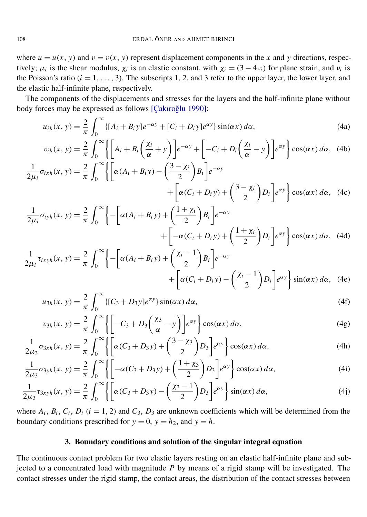where  $u = u(x, y)$  and  $v = v(x, y)$  represent displacement components in the *x* and *y* directions, respectively;  $\mu_i$  is the shear modulus,  $\chi_i$  is an elastic constant, with  $\chi_i = (3 - 4\nu_i)$  for plane strain, and  $\nu_i$  is the Poisson's ratio  $(i = 1, \ldots, 3)$ . The subscripts 1, 2, and 3 refer to the upper layer, the lower layer, and the elastic half-infinite plane, respectively.

The components of the displacements and stresses for the layers and the half-infinite plane without body forces may be expressed as follows [Çakıroğlu 1990]:

$$
u_{ih}(x, y) = \frac{2}{\pi} \int_0^\infty \{ [A_i + B_i y] e^{-\alpha y} + [C_i + D_i y] e^{\alpha y} \} \sin(\alpha x) d\alpha,
$$
 (4a)

$$
v_{ih}(x, y) = \frac{2}{\pi} \int_0^{\infty} \left\{ \left[ A_i + B_i \left( \frac{\chi_i}{\alpha} + y \right) \right] e^{-\alpha y} + \left[ -C_i + D_i \left( \frac{\chi_i}{\alpha} - y \right) \right] e^{\alpha y} \right\} \cos(\alpha x) d\alpha, \quad (4b)
$$

$$
\frac{1}{2\mu_i} \sigma_{ixh}(x, y) = \frac{2}{\pi} \int_0^{\infty} \left\{ \left[ \alpha (A_i + B_i y) - \left( \frac{3 - \chi_i}{2} \right) B_i \right] e^{-\alpha y} + \left[ \alpha (C_i + D_i y) + \left( \frac{3 - \chi_i}{2} \right) D_i \right] e^{\alpha y} \right\} \cos(\alpha x) d\alpha, \quad (4c)
$$

$$
\frac{1}{2\mu_i} \sigma_{iyh}(x, y) = \frac{2}{\pi} \int_0^{\infty} \left\{ -\left[ \alpha (A_i + B_i y) + \left( \frac{1 + \chi_i}{2} \right) B_i \right] e^{-\alpha y} + \left[ -\alpha (C_i + D_i y) + \left( \frac{1 + \chi_i}{2} \right) D_i \right] e^{\alpha y} \right\} \cos(\alpha x) d\alpha, \quad (4d)
$$

$$
\frac{1}{2\mu_i} \tau_{ixyh}(x, y) = \frac{2}{\pi} \int_0^{\infty} \left\{ -\left[ \alpha (A_i + B_i y) + \left( \frac{\chi_i - 1}{2} \right) B_i \right] e^{-\alpha y} + \left[ \alpha (C_i + D_i y) - \left( \frac{\chi_i - 1}{2} \right) D_i \right] e^{\alpha y} \right\} \sin(\alpha x) d\alpha, \quad (4e)
$$

$$
u_{3h}(x, y) = \frac{2}{\pi} \int_0^\infty \{ [C_3 + D_3 y] e^{\alpha y} \} \sin(\alpha x) d\alpha,
$$
 (4f)

$$
v_{3h}(x, y) = \frac{2}{\pi} \int_0^{\infty} \left\{ \left[ -C_3 + D_3 \left( \frac{\chi_3}{\alpha} - y \right) \right] e^{\alpha y} \right\} \cos(\alpha x) d\alpha, \tag{4g}
$$

$$
\frac{1}{2\mu_3}\sigma_{3xh}(x, y) = \frac{2}{\pi} \int_0^\infty \left\{ \left[ \alpha(C_3 + D_3y) + \left( \frac{3 - \chi_3}{2} \right) D_3 \right] e^{\alpha y} \right\} \cos(\alpha x) d\alpha, \tag{4h}
$$

$$
\frac{1}{2\mu_3}\sigma_{3yh}(x, y) = \frac{2}{\pi} \int_0^\infty \left\{ \left[ -\alpha(C_3 + D_3y) + \left( \frac{1+\chi_3}{2} \right) D_3 \right] e^{\alpha y} \right\} \cos(\alpha x) d\alpha, \tag{4i}
$$

$$
\frac{1}{2\mu_3}\tau_{3xyh}(x, y) = \frac{2}{\pi} \int_0^\infty \left\{ \left[ \alpha(C_3 + D_3y) - \left(\frac{\chi_3 - 1}{2}\right)D_3 \right] e^{\alpha y} \right\} \sin(\alpha x) d\alpha, \tag{4j}
$$

where  $A_i$ ,  $B_i$ ,  $C_i$ ,  $D_i$  ( $i = 1, 2$ ) and  $C_3$ ,  $D_3$  are unknown coefficients which will be determined from the boundary conditions prescribed for  $y = 0$ ,  $y = h_2$ , and  $y = h$ .

#### 3. Boundary conditions and solution of the singular integral equation

The continuous contact problem for two elastic layers resting on an elastic half-infinite plane and subjected to a concentrated load with magnitude *P* by means of a rigid stamp will be investigated. The contact stresses under the rigid stamp, the contact areas, the distribution of the contact stresses between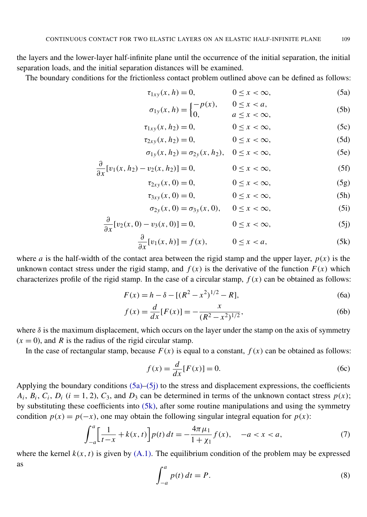the layers and the lower-layer half-infinite plane until the occurrence of the initial separation, the initial separation loads, and the initial separation distances will be examined.

The boundary conditions for the frictionless contact problem outlined above can be defined as follows:

$$
\tau_{1xy}(x,h) = 0, \qquad 0 \le x < \infty, \tag{5a}
$$

<span id="page-5-0"></span>
$$
\sigma_{1y}(x, h) = \begin{cases} -p(x), & 0 \le x < a, \\ 0, & a \le x < \infty, \end{cases}
$$
 (5b)

$$
\tau_{1xy}(x, h_2) = 0, \qquad 0 \le x < \infty,
$$
\n
$$
(5c)
$$

$$
\tau_{2xy}(x, h_2) = 0, \qquad 0 \le x < \infty,
$$
\n(5d)

$$
\sigma_{1y}(x, h_2) = \sigma_{2y}(x, h_2), \quad 0 \le x < \infty,
$$
 (5e)

$$
\frac{\partial}{\partial x}[v_1(x, h_2) - v_2(x, h_2)] = 0, \qquad 0 \le x < \infty,
$$
\n(5f)

$$
\tau_{2xy}(x,0) = 0, \qquad 0 \le x < \infty, \tag{5g}
$$

$$
\tau_{3xy}(x,0) = 0, \qquad 0 \le x < \infty, \tag{5h}
$$

<span id="page-5-2"></span><span id="page-5-1"></span>
$$
\sigma_{2y}(x,0) = \sigma_{3y}(x,0), \quad 0 \le x < \infty,
$$
 (5i)

$$
\frac{\partial}{\partial x}[v_2(x,0) - v_3(x,0)] = 0, \qquad 0 \le x < \infty,
$$
\n(5j)

$$
\frac{\partial}{\partial x}[v_1(x,h)] = f(x), \qquad 0 \le x < a,\tag{5k}
$$

where *a* is the half-width of the contact area between the rigid stamp and the upper layer,  $p(x)$  is the unknown contact stress under the rigid stamp, and  $f(x)$  is the derivative of the function  $F(x)$  which characterizes profile of the rigid stamp. In the case of a circular stamp,  $f(x)$  can be obtained as follows:

∂

$$
F(x) = h - \delta - [(R^2 - x^2)^{1/2} - R],
$$
\n(6a)

$$
f(x) = \frac{d}{dx}[F(x)] = -\frac{x}{(R^2 - x^2)^{1/2}},
$$
\n(6b)

where  $\delta$  is the maximum displacement, which occurs on the layer under the stamp on the axis of symmetry  $(x = 0)$ , and *R* is the radius of the rigid circular stamp.

In the case of rectangular stamp, because  $F(x)$  is equal to a constant,  $f(x)$  can be obtained as follows:

$$
f(x) = \frac{d}{dx}[F(x)] = 0.
$$
 (6c)

Applying the boundary conditions [\(5a\)–](#page-5-0)[\(5j\)](#page-5-1) to the stress and displacement expressions, the coefficients  $A_i$ ,  $B_i$ ,  $C_i$ ,  $D_i$  ( $i = 1, 2$ ),  $C_3$ , and  $D_3$  can be determined in terms of the unknown contact stress  $p(x)$ ; by substituting these coefficients into [\(5k\),](#page-5-2) after some routine manipulations and using the symmetry condition  $p(x) = p(-x)$ , one may obtain the following singular integral equation for  $p(x)$ :

$$
\int_{-a}^{a} \left[ \frac{1}{t-x} + k(x,t) \right] p(t) dt = -\frac{4\pi\mu_1}{1+\chi_1} f(x), \quad -a < x < a,\tag{7}
$$

<span id="page-5-4"></span>where the kernel  $k(x, t)$  is given by  $(A.1)$ . The equilibrium condition of the problem may be expressed as

<span id="page-5-3"></span>
$$
\int_{-a}^{a} p(t) dt = P.
$$
\n(8)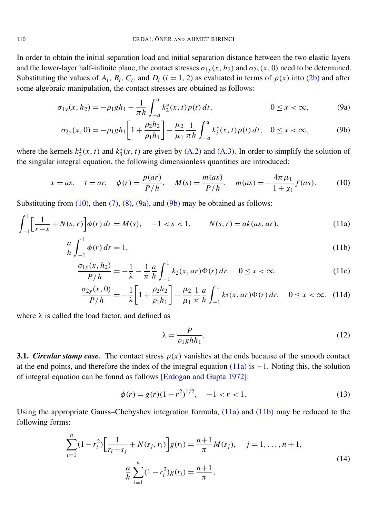In order to obtain the initial separation load and initial separation distance between the two elastic layers and the lower-layer half-infinite plane, the contact stresses  $\sigma_{1y}(x, h_2)$  and  $\sigma_{2y}(x, 0)$  need to be determined. Substituting the values of  $A_i$ ,  $B_i$ ,  $C_i$ , and  $D_i$  ( $i = 1, 2$ ) as evaluated in terms of  $p(x)$  into [\(2b\)](#page-2-0) and after some algebraic manipulation, the contact stresses are obtained as follows:

$$
\sigma_{1y}(x, h_2) = -\rho_1 g h_1 - \frac{1}{\pi h} \int_{-a}^{a} k_2^*(x, t) p(t) dt, \qquad 0 \le x < \infty,
$$
 (9a)

<span id="page-6-1"></span>
$$
\sigma_{2y}(x,0) = -\rho_1 gh_1 \left[ 1 + \frac{\rho_2 h_2}{\rho_1 h_1} \right] - \frac{\mu_2}{\mu_1} \frac{1}{\pi h} \int_{-a}^{a} k_3^*(x,t) p(t) dt, \quad 0 \le x < \infty,
$$
 (9b)

where the kernels  $k_2^*$  $x_2^*(x, t)$  and  $k_3^*$  ${}_{3}^{*}(x, t)$  are given by [\(A.2\)](#page-13-2) and [\(A.3\).](#page-13-3) In order to simplify the solution of the singular integral equation, the following dimensionless quantities are introduced:

$$
x = as
$$
,  $t = ar$ ,  $\phi(r) = \frac{p(ar)}{P/h}$ ,  $M(s) = \frac{m(as)}{P/h}$ ,  $m(as) = -\frac{4\pi \mu_1}{1 + \chi_1} f(as)$ . (10)

Substituting from  $(10)$ , then  $(7)$ ,  $(8)$ ,  $(9a)$ , and  $(9b)$  may be obtained as follows:

$$
\int_{-1}^{1} \left[ \frac{1}{r-s} + N(s,r) \right] \phi(r) \, dr = M(s), \quad -1 < s < 1, \qquad N(s,r) = ak(as, ar), \tag{11a}
$$

$$
\frac{a}{h} \int_{-1}^{1} \phi(r) dr = 1,\tag{11b}
$$

$$
\frac{\sigma_{1y}(x, h_2)}{P/h} = -\frac{1}{\lambda} - \frac{1}{\pi} \frac{a}{h} \int_{-1}^{1} k_2(x, ar) \Phi(r) dr, \quad 0 \le x < \infty,
$$
\n(11c)

$$
\frac{\sigma_{2y}(x,0)}{P/h} = -\frac{1}{\lambda} \bigg[ 1 + \frac{\rho_2 h_2}{\rho_1 h_1} \bigg] - \frac{\mu_2}{\mu_1} \frac{1}{\pi} \frac{a}{h} \int_{-1}^1 k_3(x,ar) \Phi(r) dr, \quad 0 \le x < \infty, \tag{11d}
$$

where  $\lambda$  is called the load factor, and defined as

<span id="page-6-8"></span><span id="page-6-7"></span><span id="page-6-6"></span><span id="page-6-4"></span><span id="page-6-3"></span><span id="page-6-2"></span><span id="page-6-0"></span>
$$
\lambda = \frac{P}{\rho_1 g h h_1}.\tag{12}
$$

3.1. *Circular stamp case.* The contact stress  $p(x)$  vanishes at the ends because of the smooth contact at the end points, and therefore the index of the integral equation [\(11a\)](#page-6-3) is −1. Noting this, the solution of integral equation can be found as follows [\[Erdogan and Gupta 1972\]](#page-14-23):

$$
\phi(r) = g(r)(1 - r^2)^{1/2}, \quad -1 < r < 1. \tag{13}
$$

Using the appropriate Gauss–Chebyshev integration formula, [\(11a\)](#page-6-3) and [\(11b\)](#page-6-4) may be reduced to the following forms:

<span id="page-6-5"></span>
$$
\sum_{i=1}^{n} (1 - r_i^2) \left[ \frac{1}{r_i - s_j} + N(s_j, r_i) \right] g(r_i) = \frac{n+1}{\pi} M(s_j), \quad j = 1, \dots, n+1,
$$
\n
$$
\frac{a}{h} \sum_{i=1}^{n} (1 - r_i^2) g(r_i) = \frac{n+1}{\pi},
$$
\n(14)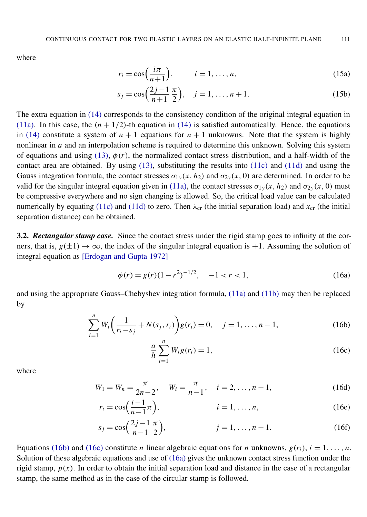where

$$
r_i = \cos\left(\frac{i\pi}{n+1}\right), \qquad i = 1, \dots, n,
$$
\n(15a)

$$
s_j = \cos\left(\frac{2j-1}{n+1}\frac{\pi}{2}\right), \quad j = 1, \dots, n+1.
$$
 (15b)

The extra equation in [\(14\)](#page-6-5) corresponds to the consistency condition of the original integral equation in [\(11a\).](#page-6-3) In this case, the  $(n + 1/2)$ -th equation in [\(14\)](#page-6-5) is satisfied automatically. Hence, the equations in [\(14\)](#page-6-5) constitute a system of  $n + 1$  equations for  $n + 1$  unknowns. Note that the system is highly nonlinear in *a* and an interpolation scheme is required to determine this unknown. Solving this system of equations and using [\(13\),](#page-6-6)  $\phi(r)$ , the normalized contact stress distribution, and a half-width of the contact area are obtained. By using [\(13\),](#page-6-6) substituting the results into [\(11c\)](#page-6-7) and [\(11d\)](#page-6-8) and using the Gauss integration formula, the contact stresses  $\sigma_{1y}(x, h_2)$  and  $\sigma_{2y}(x, 0)$  are determined. In order to be valid for the singular integral equation given in [\(11a\),](#page-6-3) the contact stresses  $\sigma_{1y}(x, h_2)$  and  $\sigma_{2y}(x, 0)$  must be compressive everywhere and no sign changing is allowed. So, the critical load value can be calculated numerically by equating [\(11c\)](#page-6-7) and [\(11d\)](#page-6-8) to zero. Then  $\lambda_{cr}$  (the initial separation load) and  $x_{cr}$  (the initial separation distance) can be obtained.

3.2. *Rectangular stamp case.* Since the contact stress under the rigid stamp goes to infinity at the corners, that is,  $g(\pm 1) \rightarrow \infty$ , the index of the singular integral equation is +1. Assuming the solution of integral equation as [\[Erdogan and Gupta 1972\]](#page-14-23)

<span id="page-7-2"></span>
$$
\phi(r) = g(r)(1 - r^2)^{-1/2}, \quad -1 < r < 1,\tag{16a}
$$

and using the appropriate Gauss–Chebyshev integration formula, [\(11a\)](#page-6-3) and [\(11b\)](#page-6-4) may then be replaced by

$$
\sum_{i=1}^{n} W_i \left( \frac{1}{r_i - s_j} + N(s_j, r_i) \right) g(r_i) = 0, \quad j = 1, \dots, n-1,
$$
 (16b)

<span id="page-7-1"></span><span id="page-7-0"></span>
$$
\frac{a}{h} \sum_{i=1}^{n} W_i g(r_i) = 1,
$$
\n(16c)

where

$$
W_1 = W_n = \frac{\pi}{2n - 2}, \quad W_i = \frac{\pi}{n - 1}, \quad i = 2, \dots, n - 1,
$$
 (16d)

$$
r_i = \cos\left(\frac{i-1}{n-1}\pi\right), \qquad i = 1, \dots, n,
$$
\n(16e)

$$
s_j = \cos\left(\frac{2j-1}{n-1}\frac{\pi}{2}\right), \qquad j = 1, \dots, n-1.
$$
 (16f)

Equations [\(16b\)](#page-7-0) and [\(16c\)](#page-7-1) constitute *n* linear algebraic equations for *n* unknowns,  $g(r_i)$ ,  $i = 1, \ldots, n$ . Solution of these algebraic equations and use of [\(16a\)](#page-7-2) gives the unknown contact stress function under the rigid stamp,  $p(x)$ . In order to obtain the initial separation load and distance in the case of a rectangular stamp, the same method as in the case of the circular stamp is followed.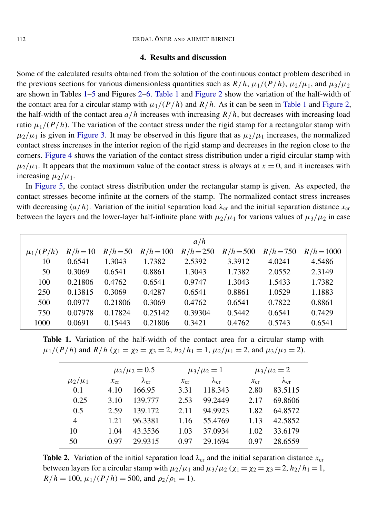#### 4. Results and discussion

Some of the calculated results obtained from the solution of the continuous contact problem described in the previous sections for various dimensionless quantities such as  $R/h$ ,  $\mu_1/(P/h)$ ,  $\mu_2/\mu_1$ , and  $\mu_3/\mu_2$ are shown in Tables [1](#page-8-0)[–5](#page-11-0) and Figures [2](#page-9-0)[–6.](#page-12-0) [Table 1](#page-8-0) and [Figure 2](#page-9-0) show the variation of the half-width of the contact area for a circular stamp with  $\mu_1/(P/h)$  and  $R/h$ . As it can be seen in [Table 1](#page-8-0) and [Figure 2,](#page-9-0) the half-width of the contact area  $a/h$  increases with increasing  $R/h$ , but decreases with increasing load ratio  $\mu_1/(P/h)$ . The variation of the contact stress under the rigid stamp for a rectangular stamp with  $\mu_2/\mu_1$  is given in [Figure 3.](#page-9-1) It may be observed in this figure that as  $\mu_2/\mu_1$  increases, the normalized contact stress increases in the interior region of the rigid stamp and decreases in the region close to the corners. [Figure 4](#page-10-0) shows the variation of the contact stress distribution under a rigid circular stamp with  $\mu_2/\mu_1$ . It appears that the maximum value of the contact stress is always at  $x = 0$ , and it increases with increasing  $\mu_2/\mu_1$ .

In [Figure 5,](#page-10-1) the contact stress distribution under the rectangular stamp is given. As expected, the contact stresses become infinite at the corners of the stamp. The normalized contact stress increases with decreasing  $(a/h)$ . Variation of the initial separation load  $\lambda_{cr}$  and the initial separation distance  $x_{cr}$ between the layers and the lower-layer half-infinite plane with  $\mu_2/\mu_1$  for various values of  $\mu_3/\mu_2$  in case

<span id="page-8-0"></span>

|               |            |            |             | a/h         |             |             |              |
|---------------|------------|------------|-------------|-------------|-------------|-------------|--------------|
| $\mu_1/(P/h)$ | $R/h = 10$ | $R/h = 50$ | $R/h = 100$ | $R/h = 250$ | $R/h = 500$ | $R/h = 750$ | $R/h = 1000$ |
| 10            | 0.6541     | 1.3043     | 1.7382      | 2.5392      | 3.3912      | 4.0241      | 4.5486       |
| 50            | 0.3069     | 0.6541     | 0.8861      | 1.3043      | 1.7382      | 2.0552      | 2.3149       |
| 100           | 0.21806    | 0.4762     | 0.6541      | 0.9747      | 1.3043      | 1.5433      | 1.7382       |
| 250           | 0.13815    | 0.3069     | 0.4287      | 0.6541      | 0.8861      | 1.0529      | 1.1883       |
| 500           | 0.0977     | 0.21806    | 0.3069      | 0.4762      | 0.6541      | 0.7822      | 0.8861       |
| 750           | 0.07978    | 0.17824    | 0.25142     | 0.39304     | 0.5442      | 0.6541      | 0.7429       |
| 1000          | 0.0691     | 0.15443    | 0.21806     | 0.3421      | 0.4762      | 0.5743      | 0.6541       |

<span id="page-8-1"></span>Table 1. Variation of the half-width of the contact area for a circular stamp with  $\mu_1/(P/h)$  and  $R/h$  ( $\chi_1 = \chi_2 = \chi_3 = 2$ ,  $h_2/h_1 = 1$ ,  $\mu_2/\mu_1 = 2$ , and  $\mu_3/\mu_2 = 2$ ).

|                | $\mu_3/\mu_2 = 0.5$ |                    |             | $\mu_3/\mu_2 = 1$  |          | $\mu_3/\mu_2 = 2$  |
|----------------|---------------------|--------------------|-------------|--------------------|----------|--------------------|
| $\mu_2/\mu_1$  | $x_{cr}$            | $\lambda_{\rm cr}$ | $\chi_{cr}$ | $\lambda_{\rm cr}$ | $x_{cr}$ | $\lambda_{\rm cr}$ |
| 0.1            | 4.10                | 166.95             | 3.31        | 118.343            | 2.80     | 83.5115            |
| 0.25           | 3.10                | 139.777            | 2.53        | 99.2449            | 2.17     | 69.8606            |
| 0.5            | 2.59                | 139.172            | 2.11        | 94.9923            | 1.82     | 64.8572            |
| $\overline{4}$ | 1.21                | 96.3381            | 1.16        | 55.4769            | 1.13     | 42.5852            |
| 10             | 1.04                | 43.3536            | 1.03        | 37.0934            | 1.02     | 33.6179            |
| 50             | 0.97                | 29.9315            | 0.97        | 29.1694            | 0.97     | 28.6559            |

**Table 2.** Variation of the initial separation load  $\lambda_{cr}$  and the initial separation distance  $x_{cr}$ between layers for a circular stamp with  $\mu_2/\mu_1$  and  $\mu_3/\mu_2$  ( $\chi_1 = \chi_2 = \chi_3 = 2$ ,  $h_2/h_1 = 1$ ,  $R/h = 100$ ,  $\mu_1/(P/h) = 500$ , and  $\rho_2/\rho_1 = 1$ .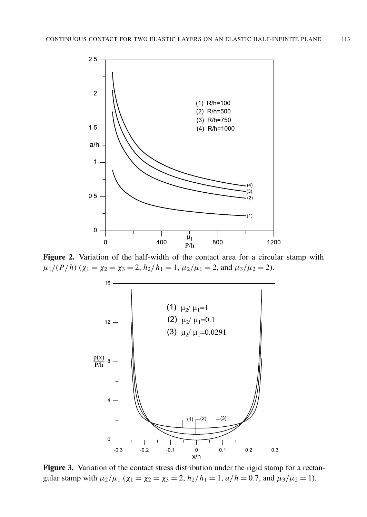<span id="page-9-0"></span>

<span id="page-9-1"></span>Figure 2. Variation of the half-width of the contact area for a circular stamp with  $(0, 1)$  $\mu_1/(P/h)$  ( $\chi_1 = \chi_2 = \chi_3 = 2$ ,  $h_2/h_1 = 1$ ,  $\mu_2/\mu_1 = 2$ , and  $\mu_3/\mu_2 = 2$ ).



Figure 3. Variation of the contact stress distribution under the rigid stamp for a rectangular stamp with  $\mu_2/\mu_1$  ( $\chi_1 = \chi_2 = \chi_3 = 2$ ,  $h_2/h_1 = 1$ ,  $a/h = 0.7$ , and  $\mu_3/\mu_2 = 1$ ).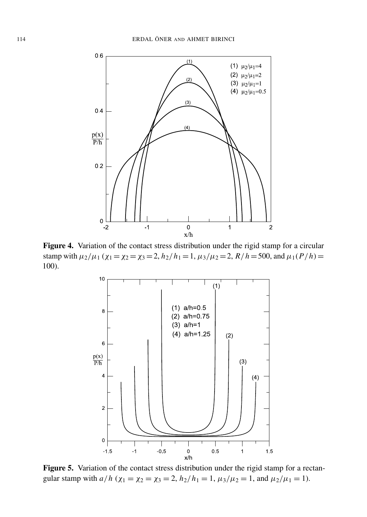<span id="page-10-0"></span>

<span id="page-10-1"></span>Figure 4. Variation of the contact stress distribution under the rigid stamp for a circular stamp with  $\mu_2/\mu_1$  ( $\chi_1 = \chi_2 = \chi_3 = 2$ ,  $h_2/h_1 = 1$ ,  $\mu_3/\mu_2 = 2$ ,  $R/h = 500$ , and  $\mu_1(P/h) =$ 100).



Figure 5. Variation of the contact stress distribution under the rigid stamp for a rectangular stamp with  $a/h$  ( $\chi_1 = \chi_2 = \chi_3 = 2$ ,  $h_2/h_1 = 1$ ,  $\mu_3/\mu_2 = 1$ , and  $\mu_2/\mu_1 = 1$ ).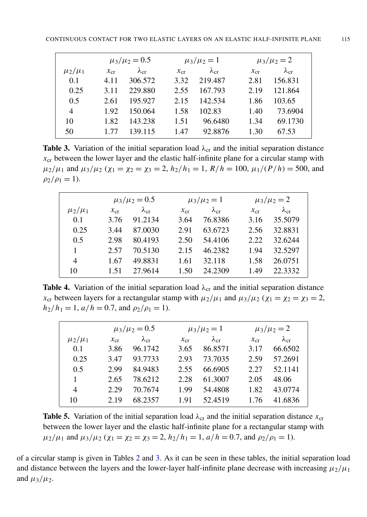<span id="page-11-1"></span>

|               | $\mu_3/\mu_2 = 0.5$ |                | $\mu_3/\mu_2 = 1$ |                | $\mu_3/\mu_2 = 2$ |                |
|---------------|---------------------|----------------|-------------------|----------------|-------------------|----------------|
| $\mu_2/\mu_1$ | $x_{cr}$            | $\lambda_{cr}$ | $\chi_{\rm cr}$   | $\lambda_{cr}$ | $\chi_{\rm cr}$   | $\lambda_{cr}$ |
| 0.1           | 4.11                | 306.572        | 3.32              | 219.487        | 2.81              | 156.831        |
| 0.25          | 3.11                | 229.880        | 2.55              | 167.793        | 2.19              | 121.864        |
| 0.5           | 2.61                | 195.927        | 2.15              | 142.534        | 1.86              | 103.65         |
| 4             | 1.92                | 150.064        | 1.58              | 102.83         | 1.40              | 73.6904        |
| 10            | 1.82                | 143.238        | 1.51              | 96.6480        | 1.34              | 69.1730        |
| 50            | 177                 | 139 115        | 1.47              | 92.8876        | 1.30              | 67.53          |

**Table 3.** Variation of the initial separation load  $\lambda_{cr}$  and the initial separation distance  $x_{cr}$  between the lower layer and the elastic half-infinite plane for a circular stamp with  $\mu_2/\mu_1$  and  $\mu_3/\mu_2$  ( $\chi_1 = \chi_2 = \chi_3 = 2$ ,  $h_2/h_1 = 1$ ,  $R/h = 100$ ,  $\mu_1/(P/h) = 500$ , and  $\rho_2/\rho_1 = 1$ ).

<span id="page-11-2"></span>

|                | $\mu_3/\mu_2 = 0.5$ |                |                 | $\mu_3/\mu_2 = 1$ |                 | $\mu_3/\mu_2 = 2$ |  |
|----------------|---------------------|----------------|-----------------|-------------------|-----------------|-------------------|--|
| $\mu_2/\mu_1$  | $\chi_{\rm cr}$     | $\lambda_{cr}$ | $\chi_{\rm cr}$ | $\lambda_{cr}$    | $\chi_{\rm cr}$ | $\lambda_{cr}$    |  |
| 0.1            | 3.76                | 91.2134        | 3.64            | 76.8386           | 3.16            | 35.5079           |  |
| 0.25           | 3.44                | 87.0030        | 2.91            | 63.6723           | 2.56            | 32.8831           |  |
| 0.5            | 2.98                | 80.4193        | 2.50            | 54.4106           | 2.22            | 32.6244           |  |
| 1              | 2.57                | 70.5130        | 2.15            | 46.2382           | 1.94            | 32.5297           |  |
| $\overline{4}$ | 1.67                | 49.8831        | 1.61            | 32.118            | 1.58            | 26,0751           |  |
| 10             | 151                 | 27.9614        | 1.50            | 24.2309           | 1.49            | 22.3332           |  |

**Table 4.** Variation of the initial separation load  $\lambda_{cr}$  and the initial separation distance  $x_{cr}$  between layers for a rectangular stamp with  $\mu_2/\mu_1$  and  $\mu_3/\mu_2$  ( $\chi_1 = \chi_2 = \chi_3 = 2$ ,  $h_2/h_1 = 1$ ,  $a/h = 0.7$ , and  $\rho_2/\rho_1 = 1$ ).

<span id="page-11-0"></span>

|               | $\mu_3/\mu_2 = 0.5$ |                |          | $\mu_3/\mu_2 = 1$ |          | $\mu_3/\mu_2 = 2$ |
|---------------|---------------------|----------------|----------|-------------------|----------|-------------------|
| $\mu_2/\mu_1$ | $x_{cr}$            | $\lambda_{cr}$ | $x_{cr}$ | $\lambda_{cr}$    | $x_{cr}$ | $\lambda_{cr}$    |
| 0.1           | 3.86                | 96.1742        | 3.65     | 86.8571           | 3.17     | 66.6502           |
| 0.25          | 3.47                | 93.7733        | 2.93     | 73.7035           | 2.59     | 57.2691           |
| 0.5           | 2.99                | 84.9483        | 2.55     | 66.6905           | 2.27     | 52.1141           |
|               | 2.65                | 78.6212        | 2.28     | 61.3007           | 2.05     | 48.06             |
| 4             | 2.29                | 70.7674        | 1.99     | 54.4808           | 1.82     | 43.0774           |
| 10            | 2.19                | 68 2357        | 1.91     | 52.4519           | 1 76     | 41.6836           |

**Table 5.** Variation of the initial separation load  $\lambda_{cr}$  and the initial separation distance  $x_{cr}$ between the lower layer and the elastic half-infinite plane for a rectangular stamp with  $\mu_2/\mu_1$  and  $\mu_3/\mu_2$  ( $\chi_1 = \chi_2 = \chi_3 = 2$ ,  $h_2/h_1 = 1$ ,  $a/h = 0.7$ , and  $\rho_2/\rho_1 = 1$ ).

of a circular stamp is given in Tables [2](#page-8-1) and [3.](#page-11-1) As it can be seen in these tables, the initial separation load and distance between the layers and the lower-layer half-infinite plane decrease with increasing  $\mu_2/\mu_1$ and  $\mu_3/\mu_2$ .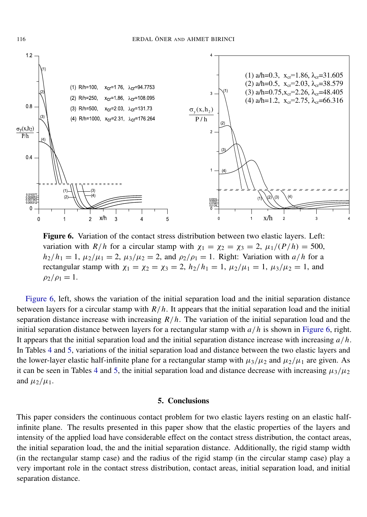<span id="page-12-0"></span>

Figure 6. Variation of the contact stress distribution between two elastic layers. Left: variation with  $R/h$  for a circular stamp with  $\chi_1 = \chi_2 = \chi_3 = 2$ ,  $\mu_1/(P/h) = 500$ ,  $h_2/h_1 = 1$ ,  $\mu_2/\mu_1 = 2$ ,  $\mu_3/\mu_2 = 2$ , and  $\rho_2/\rho_1 = 1$ . Right: Variation with *a/h* for a rectangular stamp with  $\chi_1 = \chi_2 = \chi_3 = 2$ ,  $h_2/h_1 = 1$ ,  $\mu_2/\mu_1 = 1$ ,  $\mu_3/\mu_2 = 1$ , and  $\rho_2/\rho_1 = 1.$ 

[Figure 6,](#page-12-0) left, shows the variation of the initial separation load and the initial separation distance between layers for a circular stamp with  $R/h$ . It appears that the initial separation load and the initial separation distance increase with increasing *R*/*h*. The variation of the initial separation load and the initial separation distance between layers for a rectangular stamp with *a*/*h* is shown in [Figure 6,](#page-12-0) right. It appears that the initial separation load and the initial separation distance increase with increasing *a*/*h*. In Tables [4](#page-11-2) and [5,](#page-11-0) variations of the initial separation load and distance between the two elastic layers and the lower-layer elastic half-infinite plane for a rectangular stamp with  $\mu_3/\mu_2$  and  $\mu_2/\mu_1$  are given. As it can be seen in Tables [4](#page-11-2) and [5,](#page-11-0) the initial separation load and distance decrease with increasing  $\mu_3/\mu_2$ and  $\mu_2/\mu_1$ .

#### 5. Conclusions

This paper considers the continuous contact problem for two elastic layers resting on an elastic halfinfinite plane. The results presented in this paper show that the elastic properties of the layers and intensity of the applied load have considerable effect on the contact stress distribution, the contact areas, the initial separation load, the and the initial separation distance. Additionally, the rigid stamp width (in the rectangular stamp case) and the radius of the rigid stamp (in the circular stamp case) play a very important role in the contact stress distribution, contact areas, initial separation load, and initial separation distance.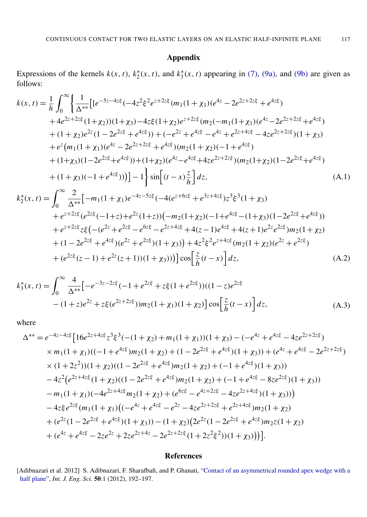#### Appendix

<span id="page-13-1"></span>Expressions of the kernels  $k(x, t)$ ,  $k_2^*$  $x_2^*(x, t)$ , and  $k_3^*$  $j_3^*(x, t)$  appearing in [\(7\),](#page-5-3) [\(9a\),](#page-6-1) and [\(9b\)](#page-6-2) are given as follows:

$$
k(x,t) = \frac{1}{h} \int_0^{\infty} \left\{ \frac{1}{\Delta^{**}} \left[ \left[ e^{-5z-4z\xi} \left( -4z^2\xi^2 e^{z+2z\xi} (m_1(1+\chi_1)(e^{4z} - 2e^{2z+2z\xi} + e^{4z\xi}) \right) \right. \\ + 4e^{2z+2z\xi} (1+\chi_2) (1+\chi_3) - 4z\xi (1+\chi_2)e^{z+2z\xi} (m_2(-m_1(1+\chi_1)(e^{4z} - 2e^{2z+2z\xi} + e^{4z\xi}) \right. \\ + (1+\chi_2)e^{2z} (1-2e^{2z\xi} + e^{4z\xi}) ) + (-e^{2z} + e^{4z\xi} - e^{4z} + e^{2z+4z\xi} - 4ze^{2z+2z\xi}) (1+\chi_3) \\ + e^z (m_1(1+\chi_1)(e^{4z} - 2e^{2z+2z\xi} + e^{4z\xi}) (m_2(1+\chi_2)(-1+e^{4z\xi}) \right. \\ + (1+\chi_3)(1-2e^{2z\xi} + e^{4z\xi}) ) + (1+\chi_2)(e^{4z} - e^{4z\xi} + 4ze^{2z+2z\xi}) (m_2(1+\chi_2)(1-2e^{2z\xi} + e^{4z\xi}) \right. \\ + (1+\chi_3)(-1+e^{4z\xi})) ) ] - 1 \int_0^1 \sin \left[ (t-x)\frac{z}{h} \right] dz, \tag{A.1}
$$

$$
k_2^*(x,t) = \int_0^{\infty} \frac{2}{\Delta^{**}} [-m_1(1+\chi_1)e^{-4z-5z\xi} (-4(e^{z+6z\xi} + e^{3z+4z\xi})z^3\xi^3 (1+\chi_3) \right. \\ + e^{z+2z\xi} (e^{2z\xi} (-1+z) + e^{2z} (1+z)) (-m_2(1+\chi_2)(-1+e^{4z\xi} - (1+\chi_3)(1-2e^{2z\xi} + e^{4z\xi})) \right. \\ + e^{z+2z\xi} z\xi \left( -\left( e^{2z} + e^{2z\xi} - e^{6z\xi} - e^{2z+4z\xi} + 4(z-1)e^{4z\xi} + 4(z+1
$$

<span id="page-13-3"></span><span id="page-13-2"></span>
$$
k_3^*(x,t) = \int_0^\infty \frac{4}{\Delta^{**}} \Big[ -e^{-3z-2z\xi}(-1+e^{2z\xi}+z\xi(1+e^{2z\xi}))((1-z)e^{2z\xi} - (1+z)e^{2z} + z\xi(e^{2z+2z\xi}))m_2(1+\chi_1)(1+\chi_2) \Big] \cos\Big[\frac{z}{h}(t-x)\Big] dz,
$$
\n(A.3)

where

$$
\Delta^{**} = e^{-4z - 4z\xi} \left[ 16e^{2z + 4z\xi} z^3 \xi^3 \left( -(1 + \chi_2) + m_1(1 + \chi_1) \right) (1 + \chi_3) - (-e^{4z} + e^{4z\xi} - 4ze^{2z + 2z\xi}) \times m_1(1 + \chi_1) \left( (-1 + e^{4z\xi})m_2(1 + \chi_2) + (1 - 2e^{2z\xi} + e^{4z\xi}) (1 + \chi_3) \right) + (e^{4z} + e^{4z\xi} - 2e^{2z + 2z\xi}) \times (1 + 2z^2) (1 + \chi_2) \left( (1 - 2e^{2z\xi} + e^{4z\xi})m_2(1 + \chi_2) + (-1 + e^{4z\xi}) (1 + \chi_3) \right) \right. \\
\left. - 4z^2 \left( e^{2z + 4z\xi} (1 + \chi_2) \left( (1 - 2e^{2z\xi} + e^{4z\xi})m_2(1 + \chi_2) + (-1 + e^{4z\xi} - 8ze^{2z\xi}) (1 + \chi_3) \right) \right. \\
\left. - m_1(1 + \chi_1) \left( -4e^{2z + 4z\xi}m_2(1 + \chi_2) + (e^{6z\xi} - e^{4z + 2z\xi} - 4ze^{2z + 4z\xi}) (1 + \chi_3) \right) \right) \right. \\
\left. - 4z\xi e^{2z\xi} (m_1(1 + \chi_1) \left( (-e^{4z} + e^{4z\xi} - e^{2z} - 4ze^{2z + 2z\xi} + e^{2z + 4z\xi})m_2(1 + \chi_2) \right. \\
\left. + (e^{2z} (1 - 2e^{2z\xi} + e^{4z\xi}) (1 + \chi_3)) - (1 + \chi_2) (2e^{2z} (1 - 2e^{2z\xi} + e^{4z\xi})m_2 z (1 + \chi_2) \right. \\
\left. + (e^{4z} + e^{4z\xi} - 2ze^{2z} + 2ze^{2z + 4z} - 2e^{2z + 2z\xi} (1 + 2z^2\xi^2)) (1 + \chi_3)) \right) \right].
$$

#### References

<span id="page-13-0"></span>[Adibnazari et al. 2012] S. Adibnazari, F. Sharafbafi, and P. Ghanati, ["Contact of an asymmetrical rounded apex wedge with a](http://dx.doi.org/10.1016/j.ijengsci.2011.08.003) [half plane",](http://dx.doi.org/10.1016/j.ijengsci.2011.08.003) *Int. J. Eng. Sci.* 50:1 (2012), 192–197.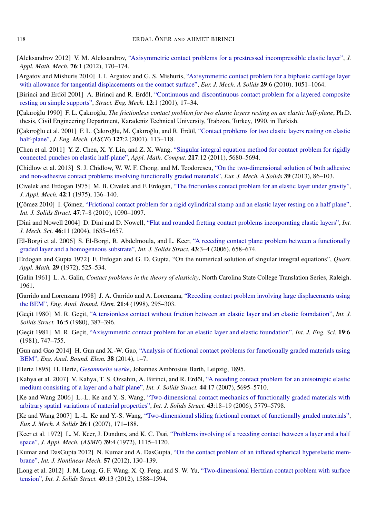- <span id="page-14-18"></span>[Aleksandrov 2012] V. M. Aleksandrov, ["Axisymmetric contact problems for a prestressed incompressible elastic layer",](http://dx.doi.org/10.1016/j.jappmathmech.2012.03.011) *J. Appl. Math. Mech.* 76:1 (2012), 170–174.
- <span id="page-14-15"></span>[Argatov and Mishuris 2010] I. I. Argatov and G. S. Mishuris, ["Axisymmetric contact problem for a biphasic cartilage layer](http://dx.doi.org/10.1016/j.euromechsol.2010.07.003) [with allowance for tangential displacements on the contact surface",](http://dx.doi.org/10.1016/j.euromechsol.2010.07.003) *Eur. J. Mech. A Solids* 29:6 (2010), 1051–1064.
- <span id="page-14-1"></span>[Birinci and Erdöl 2001] A. Birinci and R. Erdöl, ["Continuous and discontinuous contact problem for a layered composite](http://dx.doi.org/10.12989/sem.2001.12.1.017) [resting on simple supports",](http://dx.doi.org/10.12989/sem.2001.12.1.017) *Struct. Eng. Mech.* 12:1 (2001), 17–34.
- <span id="page-14-22"></span>[Çakıroğlu 1990] F. L. Çakıroğlu, *The frictionless contact problem for two elastic layers resting on an elastic half-plane*, Ph.D. thesis, Civil Engineering Department, Karadeniz Technical University, Trabzon, Turkey, 1990. in Turkish.
- <span id="page-14-8"></span>[Cakıroğlu et al. 2001] F. L. Cakıroğlu, M. Cakıroğlu, and R. Erdöl, ["Contact problems for two elastic layers resting on elastic](http://dx.doi.org/10.1061/(ASCE)0733-9399(2001)127:2(113)) [half-plane",](http://dx.doi.org/10.1061/(ASCE)0733-9399(2001)127:2(113)) *J. Eng. Mech.* (*ASCE*) 127:2 (2001), 113–118.
- <span id="page-14-16"></span>[Chen et al. 2011] Y. Z. Chen, X. Y. Lin, and Z. X. Wang, ["Singular integral equation method for contact problem for rigidly](http://dx.doi.org/10.1016/j.amc.2010.12.046) [connected punches on elastic half-plane",](http://dx.doi.org/10.1016/j.amc.2010.12.046) *Appl. Math. Comput.* 217:12 (2011), 5680–5694.
- <span id="page-14-19"></span>[Chidlow et al. 2013] S. J. Chidlow, W. W. F. Chong, and M. Teodorescu, ["On the two-dimensional solution of both adhesive](http://dx.doi.org/10.1016/j.euromechsol.2012.10.008) [and non-adhesive contact problems involving functionally graded materials",](http://dx.doi.org/10.1016/j.euromechsol.2012.10.008) *Eur. J. Mech. A Solids* 39 (2013), 86–103.
- <span id="page-14-5"></span>[Civelek and Erdogan 1975] M. B. Civelek and F. Erdogan, ["The frictionless contact problem for an elastic layer under gravity",](http://dx.doi.org/10.1115/1.3423504) *J. Appl. Mech.* 42:1 (1975), 136–140.
- <span id="page-14-14"></span>[Çömez 2010] I. Çömez, ["Frictional contact problem for a rigid cylindrical stamp and an elastic layer resting on a half plane",](http://dx.doi.org/10.1016/j.ijsolstr.2010.01.003) *Int. J. Solids Struct.* 47:7–8 (2010), 1090–1097.
- <span id="page-14-9"></span>[Dini and Nowell 2004] D. Dini and D. Nowell, ["Flat and rounded fretting contact problems incorporating elastic layers",](http://dx.doi.org/10.1016/j.ijmecsci.2004.10.003) *Int. J. Mech. Sci.* 46:11 (2004), 1635–1657.
- <span id="page-14-10"></span>[El-Borgi et al. 2006] S. El-Borgi, R. Abdelmoula, and L. Keer, ["A receding contact plane problem between a functionally](http://dx.doi.org/10.1016/j.ijsolstr.2005.04.017) [graded layer and a homogeneous substrate",](http://dx.doi.org/10.1016/j.ijsolstr.2005.04.017) *Int. J. Solids Struct.* 43:3–4 (2006), 658–674.
- <span id="page-14-23"></span>[Erdogan and Gupta 1972] F. Erdogan and G. D. Gupta, "On the numerical solution of singular integral equations", *Quart. Appl. Math.* 29 (1972), 525–534.
- <span id="page-14-3"></span>[Galin 1961] L. A. Galin, *Contact problems in the theory of elasticity*, North Carolina State College Translation Series, Raleigh, 1961.
- <span id="page-14-0"></span>[Garrido and Lorenzana 1998] J. A. Garrido and A. Lorenzana, ["Receding contact problem involving large displacements using](http://dx.doi.org/10.1016/S0955-7997(98)00018-6) [the BEM",](http://dx.doi.org/10.1016/S0955-7997(98)00018-6) *Eng. Anal. Bound. Elem.* 21:4 (1998), 295–303.
- <span id="page-14-6"></span>[Geçit 1980] M. R. Geçit, ["A tensionless contact without friction between an elastic layer and an elastic foundation",](http://dx.doi.org/10.1016/0020-7683(80)90037-2) *Int. J. Solids Struct.* 16:5 (1980), 387–396.
- <span id="page-14-7"></span>[Geçit 1981] M. R. Geçit, ["Axisymmetric contact problem for an elastic layer and elastic foundation",](http://dx.doi.org/10.1016/0020-7225(81)90108-7) *Int. J. Eng. Sci.* 19:6 (1981), 747–755.
- <span id="page-14-21"></span>[Gun and Gao 2014] H. Gun and X.-W. Gao, ["Analysis of frictional contact problems for functionally graded materials using](http://dx.doi.org/10.1016/j.enganabound.2013.10.004) [BEM",](http://dx.doi.org/10.1016/j.enganabound.2013.10.004) *Eng. Anal. Bound. Elem.* 38 (2014), 1–7.
- <span id="page-14-2"></span>[Hertz 1895] H. Hertz, *[Gesammelte werke](http://www.archive.org/details/gesammeltewerke01frangoog)*, Johannes Ambrosius Barth, Leipzig, 1895.
- <span id="page-14-13"></span>[Kahya et al. 2007] V. Kahya, T. S. Ozsahin, A. Birinci, and R. Erdöl, ["A receding contact problem for an anisotropic elastic](http://dx.doi.org/10.1016/j.ijsolstr.2007.01.020) [medium consisting of a layer and a half plane",](http://dx.doi.org/10.1016/j.ijsolstr.2007.01.020) *Int. J. Solids Struct.* 44:17 (2007), 5695–5710.
- <span id="page-14-11"></span>[Ke and Wang 2006] L.-L. Ke and Y.-S. Wang, ["Two-dimensional contact mechanics of functionally graded materials with](http://dx.doi.org/10.1016/j.ijsolstr.2005.06.081) [arbitrary spatial variations of material properties",](http://dx.doi.org/10.1016/j.ijsolstr.2005.06.081) *Int. J. Solids Struct.* 43:18–19 (2006), 5779–5798.
- <span id="page-14-12"></span>[Ke and Wang 2007] L.-L. Ke and Y.-S. Wang, ["Two-dimensional sliding frictional contact of functionally graded materials",](http://dx.doi.org/10.1016/j.euromechsol.2006.05.007) *Eur. J. Mech. A Solids* 26:1 (2007), 171–188.
- <span id="page-14-4"></span>[Keer et al. 1972] L. M. Keer, J. Dundurs, and K. C. Tsai, ["Problems involving of a receding contact between a layer and a half](http://dx.doi.org/10.1115/1.3422839) [space",](http://dx.doi.org/10.1115/1.3422839) *J. Appl. Mech.* (*ASME*) 39:4 (1972), 1115–1120.
- <span id="page-14-20"></span>[Kumar and DasGupta 2012] N. Kumar and A. DasGupta, ["On the contact problem of an inflated spherical hyperelastic mem](http://dx.doi.org/10.1016/j.ijnonlinmec.2013.06.015)[brane",](http://dx.doi.org/10.1016/j.ijnonlinmec.2013.06.015) *Int. J. Nonlinear Mech.* 57 (2012), 130–139.
- <span id="page-14-17"></span>[Long et al. 2012] J. M. Long, G. F. Wang, X. Q. Feng, and S. W. Yu, ["Two-dimensional Hertzian contact problem with surface](http://dx.doi.org/10.1016/j.ijsolstr.2012.03.017) [tension",](http://dx.doi.org/10.1016/j.ijsolstr.2012.03.017) *Int. J. Solids Struct.* 49:13 (2012), 1588–1594.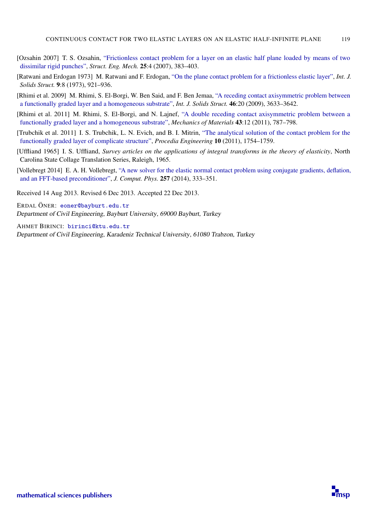- <span id="page-15-0"></span>[Ozsahin 2007] T. S. Ozsahin, ["Frictionless contact problem for a layer on an elastic half plane loaded by means of two](http://dx.doi.org/10.12989/sem.2007.25.4.383) [dissimilar rigid punches",](http://dx.doi.org/10.12989/sem.2007.25.4.383) *Struct. Eng. Mech.* 25:4 (2007), 383–403.
- <span id="page-15-2"></span>[Ratwani and Erdogan 1973] M. Ratwani and F. Erdogan, ["On the plane contact problem for a frictionless elastic layer",](http://dx.doi.org/10.1016/0020-7683(73)90021-8) *Int. J. Solids Struct.* 9:8 (1973), 921–936.
- <span id="page-15-3"></span>[Rhimi et al. 2009] M. Rhimi, S. El-Borgi, W. Ben Said, and F. Ben Jemaa, ["A receding contact axisymmetric problem between](http://dx.doi.org/10.1016/j.ijsolstr.2009.06.008) [a functionally graded layer and a homogeneous substrate",](http://dx.doi.org/10.1016/j.ijsolstr.2009.06.008) *Int. J. Solids Struct.* 46:20 (2009), 3633–3642.
- <span id="page-15-4"></span>[Rhimi et al. 2011] M. Rhimi, S. El-Borgi, and N. Lajnef, ["A double receding contact axisymmetric problem between a](http://dx.doi.org/10.1016/j.mechmat.2011.08.013) [functionally graded layer and a homogeneous substrate",](http://dx.doi.org/10.1016/j.mechmat.2011.08.013) *Mechanics of Materials* 43:12 (2011), 787–798.
- <span id="page-15-5"></span>[Trubchik et al. 2011] I. S. Trubchik, L. N. Evich, and B. I. Mitrin, ["The analytical solution of the contact problem for the](http://dx.doi.org/10.1016/j.proeng.2011.04.292) [functionally graded layer of complicate structure",](http://dx.doi.org/10.1016/j.proeng.2011.04.292) *Procedia Engineering* 10 (2011), 1754–1759.
- <span id="page-15-1"></span>[Uffliand 1965] I. S. Uffliand, *Survey articles on the applications of integral transforms in the theory of elasticity*, North Carolina State Collage Translation Series, Raleigh, 1965.
- <span id="page-15-6"></span>[Vollebregt 2014] E. A. H. Vollebregt, ["A new solver for the elastic normal contact problem using conjugate gradients, deflation,](http://dx.doi.org/10.1016/j.jcp.2013.10.005) [and an FFT-based preconditioner",](http://dx.doi.org/10.1016/j.jcp.2013.10.005) *J. Comput. Phys.* 257 (2014), 333–351.

Received 14 Aug 2013. Revised 6 Dec 2013. Accepted 22 Dec 2013.

ERDAL ÖNER: [eoner@bayburt.edu.tr](mailto:eoner@bayburt.edu.tr) Department of Civil Engineering, Bayburt University, 69000 Bayburt, Turkey

AHMET BIRINCI: [birinci@ktu.edu.tr](mailto:birinci@ktu.edu.tr) Department of Civil Engineering, Karadeniz Technical University, 61080 Trabzon, Turkey

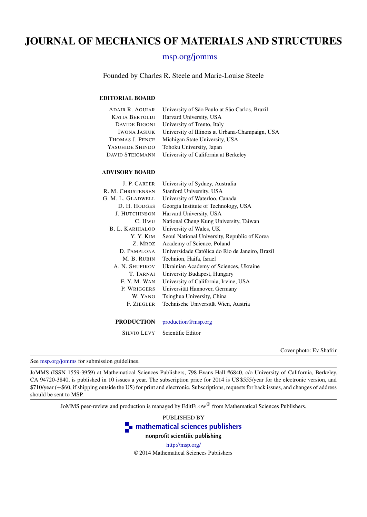# JOURNAL OF MECHANICS OF MATERIALS AND STRUCTURES

### [msp.org/jomms](http://msp.org/jomms/)

Founded by Charles R. Steele and Marie-Louise Steele

#### EDITORIAL BOARD

| ADAIR R. AGUIAR        | University of São Paulo at São Carlos, Brazil   |
|------------------------|-------------------------------------------------|
| KATIA BERTOLDI         | Harvard University, USA                         |
| DAVIDE BIGONI          | University of Trento, Italy                     |
| <b>IWONA JASIUK</b>    | University of Illinois at Urbana-Champaign, USA |
| THOMAS J. PENCE        | Michigan State University, USA                  |
| YASUHIDE SHINDO        | Tohoku University, Japan                        |
| <b>DAVID STEIGMANN</b> | University of California at Berkeley            |

#### ADVISORY BOARD

| J. P. CARTER         | University of Sydney, Australia                 |
|----------------------|-------------------------------------------------|
| R. M. CHRISTENSEN    | Stanford University, USA                        |
| G. M. L. GLADWELL    | University of Waterloo, Canada                  |
| D. H. HODGES         | Georgia Institute of Technology, USA            |
| <b>J. HUTCHINSON</b> | Harvard University, USA                         |
| C. HWU               | National Cheng Kung University, Taiwan          |
| B. L. KARIHALOO      | University of Wales, UK                         |
| Y. Y. KIM            | Seoul National University, Republic of Korea    |
| Z. MROZ              | Academy of Science, Poland                      |
| D. PAMPLONA          | Universidade Católica do Rio de Janeiro, Brazil |
| M. B. RUBIN          | Technion, Haifa, Israel                         |
| A. N. SHUPIKOV       | Ukrainian Academy of Sciences, Ukraine          |
| T. TARNAI            | University Budapest, Hungary                    |
| F.Y.M.WAN            | University of California, Irvine, USA           |
| P. WRIGGERS          | Universität Hannover, Germany                   |
| W. YANG              | Tsinghua University, China                      |
| F. ZIEGLER           | Technische Universität Wien, Austria            |
|                      |                                                 |
|                      |                                                 |

PRODUCTION [production@msp.org](mailto:production@msp.org)

SILVIO LEVY Scientific Editor

Cover photo: Ev Shafrir

See [msp.org/jomms](http://msp.org/jomms/) for submission guidelines.

JoMMS (ISSN 1559-3959) at Mathematical Sciences Publishers, 798 Evans Hall #6840, c/o University of California, Berkeley, CA 94720-3840, is published in 10 issues a year. The subscription price for 2014 is US \$555/year for the electronic version, and \$710/year (+\$60, if shipping outside the US) for print and electronic. Subscriptions, requests for back issues, and changes of address should be sent to MSP.

JoMMS peer-review and production is managed by EditFLOW® from Mathematical Sciences Publishers.

PUBLISHED BY **[mathematical sciences publishers](http://msp.org/)** nonprofit scientific publishing <http://msp.org/>

© 2014 Mathematical Sciences Publishers